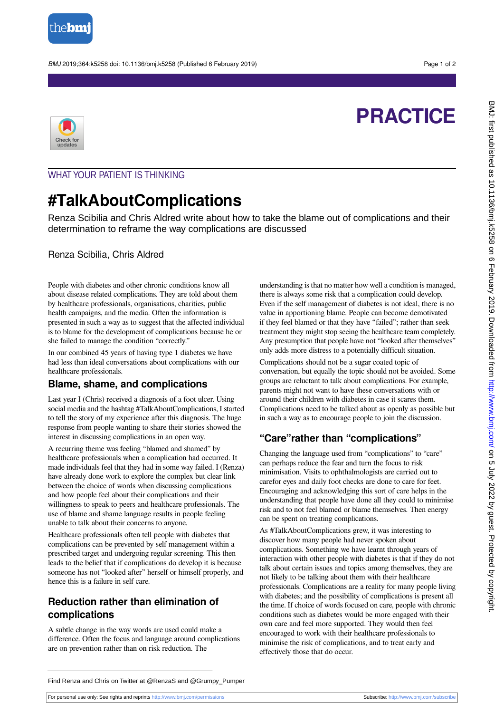

BMJ 2019;364:k5258 doi: 10.1136/bmj.k5258 (Published 6 February 2019) Page 1 of 2

# **PRACTICE**



### WHAT YOUR PATIENT IS THINKING

## **#TalkAboutComplications**

Renza Scibilia and Chris Aldred write about how to take the blame out of complications and their determination to reframe the way complications are discussed

Renza Scibilia, Chris Aldred

People with diabetes and other chronic conditions know all about disease related complications. They are told about them by healthcare professionals, organisations, charities, public health campaigns, and the media. Often the information is presented in such a way as to suggest that the affected individual is to blame for the development of complications because he or she failed to manage the condition "correctly."

In our combined 45 years of having type 1 diabetes we have had less than ideal conversations about complications with our healthcare professionals.

#### **Blame, shame, and complications**

Last year I (Chris) received a diagnosis of a foot ulcer. Using social media and the hashtag #TalkAboutComplications, I started to tell the story of my experience after this diagnosis. The huge response from people wanting to share their stories showed the interest in discussing complications in an open way.

A recurring theme was feeling "blamed and shamed" by healthcare professionals when a complication had occurred. It made individuals feel that they had in some way failed. I (Renza) have already done work to explore the complex but clear link between the choice of words when discussing complications and how people feel about their complications and their willingness to speak to peers and healthcare professionals. The use of blame and shame language results in people feeling unable to talk about their concerns to anyone.

Healthcare professionals often tell people with diabetes that complications can be prevented by self management within a prescribed target and undergoing regular screening. This then leads to the belief that if complications do develop it is because someone has not "looked after" herself or himself properly, and hence this is a failure in self care.

## **Reduction rather than elimination of complications**

A subtle change in the way words are used could make a difference. Often the focus and language around complications are on prevention rather than on risk reduction. The

understanding is that no matter how well a condition is managed, there is always some risk that a complication could develop. Even if the self management of diabetes is not ideal, there is no value in apportioning blame. People can become demotivated if they feel blamed or that they have "failed"; rather than seek treatment they might stop seeing the healthcare team completely. Any presumption that people have not "looked after themselves" only adds more distress to a potentially difficult situation.

Complications should not be a sugar coated topic of conversation, but equally the topic should not be avoided. Some groups are reluctant to talk about complications. For example, parents might not want to have these conversations with or around their children with diabetes in case it scares them. Complications need to be talked about as openly as possible but in such a way as to encourage people to join the discussion.

## **"Care"rather than "complications"**

Changing the language used from "complications" to "care" can perhaps reduce the fear and turn the focus to risk minimisation. Visits to ophthalmologists are carried out to carefor eyes and daily foot checks are done to care for feet. Encouraging and acknowledging this sort of care helps in the understanding that people have done all they could to minimise risk and to not feel blamed or blame themselves. Then energy can be spent on treating complications.

As #TalkAboutComplications grew, it was interesting to discover how many people had never spoken about complications. Something we have learnt through years of interaction with other people with diabetes is that if they do not talk about certain issues and topics among themselves, they are not likely to be talking about them with their healthcare professionals. Complications are a reality for many people living with diabetes; and the possibility of complications is present all the time. If choice of words focused on care, people with chronic conditions such as diabetes would be more engaged with their own care and feel more supported. They would then feel encouraged to work with their healthcare professionals to minimise the risk of complications, and to treat early and effectively those that do occur.

Find Renza and Chris on Twitter at @RenzaS and [@Grumpy\\_Pumper](http://www.twitter.com/Grumpy_Pumper)

For personal use only: See rights and reprints<http://www.bmj.com/permissions> Subscribe: <http://www.bmj.com/subscribe>